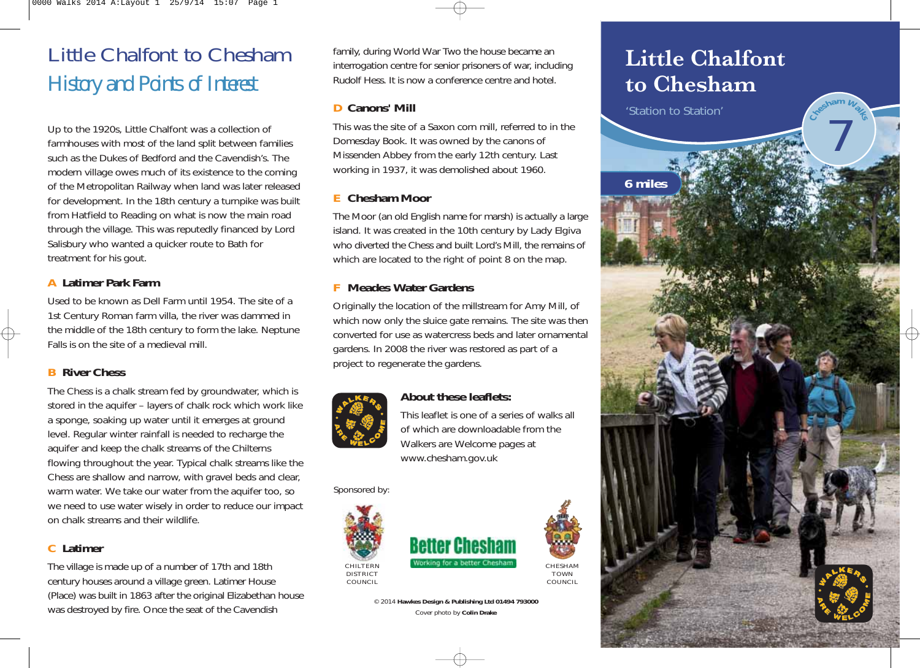# Little Chalfont to Chesham *History and Points of Interest*

Up to the 1920s, Little Chalfont was a collection of farmhouses with most of the land split between families such as the Dukes of Bedford and the Cavendish's. The modern village owes much of its existence to the coming of the Metropolitan Railway when land was later released for development. In the 18th century a turnpike was built from Hatfield to Reading on what is now the main road through the village. This was reputedly financed by Lord Salisbury who wanted a quicker route to Bath for treatment for his gout.

#### **A Latimer Park Farm**

Used to be known as Dell Farm until 1954. The site of a 1st Century Roman farm villa, the river was dammed in the middle of the 18th century to form the lake. Neptune Falls is on the site of a medieval mill.

#### **B River Chess**

The Chess is a chalk stream fed by groundwater, which is stored in the aquifer – layers of chalk rock which work like a sponge, soaking up water until it emerges at ground level. Regular winter rainfall is needed to recharge the aquifer and keep the chalk streams of the Chilterns flowing throughout the year. Typical chalk streams like the Chess are shallow and narrow, with gravel beds and clear, warm water. We take our water from the aquifer too, so we need to use water wisely in order to reduce our impact on chalk streams and their wildlife.

#### **C Latimer**

The village is made up of a number of 17th and 18th century houses around a village green. Latimer House (Place) was built in 1863 after the original Elizabethan house was destroyed by fire. Once the seat of the Cavendish

family, during World War Two the house became an interrogation centre for senior prisoners of war, including Rudolf Hess. It is now a conference centre and hotel.

#### **D Canons' Mill**

This was the site of a Saxon corn mill, referred to in the Domesday Book. It was owned by the canons of Missenden Abbey from the early 12th century. Last working in 1937, it was demolished about 1960.

#### **E Chesham Moor**

The Moor (an old English name for marsh) is actually a large island. It was created in the 10th century by Lady Elgiva who diverted the Chess and built Lord's Mill, the remains of which are located to the right of point 8 on the map.

#### **F Meades Water Gardens**

Originally the location of the millstream for Amy Mill, of which now only the sluice gate remains. The site was then converted for use as watercress beds and later ornamental gardens. In 2008 the river was restored as part of a project to regenerate the gardens.



#### **About these leaflets:**

This leaflet is one of a series of walks all of which are downloadable from the Walkers are Welcome pages at www.chesham.gov.uk

Sponsored by:





CHESHAM TOWN COUNCIL

© 2014 **Hawkes Design & Publishing Ltd 01494 793000** Cover photo by **Colin Drake**

## **Little Chalfont to Chesham**

'Station to Station'